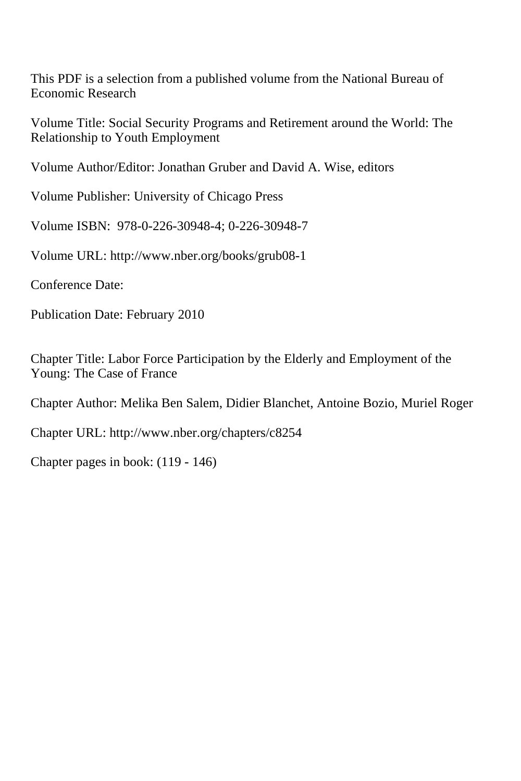This PDF is a selection from a published volume from the National Bureau of Economic Research

Volume Title: Social Security Programs and Retirement around the World: The Relationship to Youth Employment

Volume Author/Editor: Jonathan Gruber and David A. Wise, editors

Volume Publisher: University of Chicago Press

Volume ISBN: 978-0-226-30948-4; 0-226-30948-7

Volume URL: http://www.nber.org/books/grub08-1

Conference Date:

Publication Date: February 2010

Chapter Title: Labor Force Participation by the Elderly and Employment of the Young: The Case of France

Chapter Author: Melika Ben Salem, Didier Blanchet, Antoine Bozio, Muriel Roger

Chapter URL: http://www.nber.org/chapters/c8254

Chapter pages in book: (119 - 146)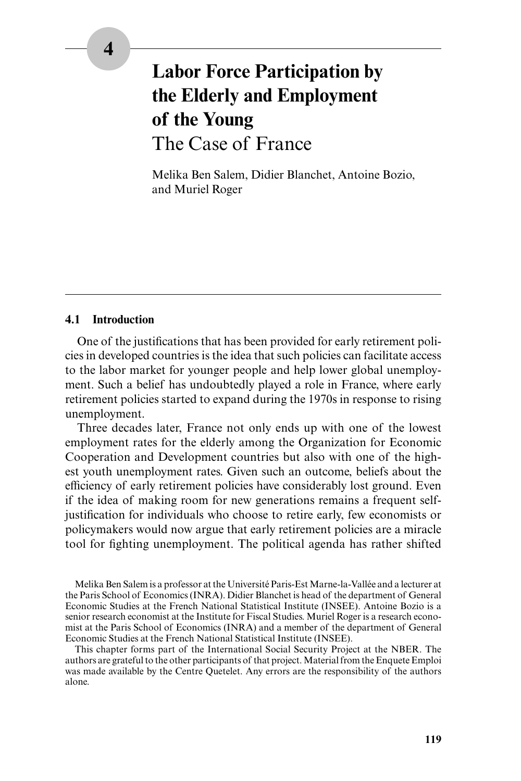# **Labor Force Participation by the Elderly and Employment of the Young** The Case of France

Melika Ben Salem, Didier Blanchet, Antoine Bozio, and Muriel Roger

## **4.1 Introduction**

One of the justifications that has been provided for early retirement policies in developed countries is the idea that such policies can facilitate access to the labor market for younger people and help lower global unemployment. Such a belief has undoubtedly played a role in France, where early retirement policies started to expand during the 1970s in response to rising unemployment.

Three decades later, France not only ends up with one of the lowest employment rates for the elderly among the Organization for Economic Cooperation and Development countries but also with one of the highest youth unemployment rates. Given such an outcome, beliefs about the efficiency of early retirement policies have considerably lost ground. Even if the idea of making room for new generations remains a frequent self justification for individuals who choose to retire early, few economists or policymakers would now argue that early retirement policies are a miracle tool for fighting unemployment. The political agenda has rather shifted

Melika Ben Salem is a professor at the Université Paris-Est Marne- la-Vallée and a lecturer at the Paris School of Economics (INRA). Didier Blanchet is head of the department of General Economic Studies at the French National Statistical Institute (INSEE). Antoine Bozio is a senior research economist at the Institute for Fiscal Studies. Muriel Roger is a research economist at the Paris School of Economics (INRA) and a member of the department of General Economic Studies at the French National Statistical Institute (INSEE).

This chapter forms part of the International Social Security Project at the NBER. The authors are grateful to the other participants of that project. Material from the Enquete Emploi was made available by the Centre Quetelet. Any errors are the responsibility of the authors alone.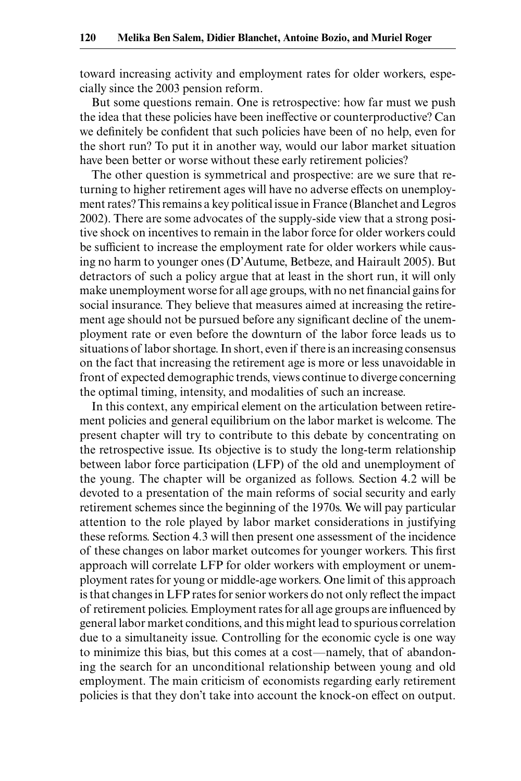toward increasing activity and employment rates for older workers, especially since the 2003 pension reform.

But some questions remain. One is retrospective: how far must we push the idea that these policies have been ineffective or counterproductive? Can we definitely be confident that such policies have been of no help, even for the short run? To put it in another way, would our labor market situation have been better or worse without these early retirement policies?

The other question is symmetrical and prospective: are we sure that returning to higher retirement ages will have no adverse effects on unemployment rates? This remains a key political issue in France (Blanchet and Legros 2002). There are some advocates of the supply- side view that a strong positive shock on incentives to remain in the labor force for older workers could be sufficient to increase the employment rate for older workers while causing no harm to younger ones (D'Autume, Betbeze, and Hairault 2005). But detractors of such a policy argue that at least in the short run, it will only make unemployment worse for all age groups, with no net financial gains for social insurance. They believe that measures aimed at increasing the retirement age should not be pursued before any significant decline of the unemployment rate or even before the downturn of the labor force leads us to situations of labor shortage. In short, even if there is an increasing consensus on the fact that increasing the retirement age is more or less unavoidable in front of expected demographic trends, views continue to diverge concerning the optimal timing, intensity, and modalities of such an increase.

In this context, any empirical element on the articulation between retirement policies and general equilibrium on the labor market is welcome. The present chapter will try to contribute to this debate by concentrating on the retrospective issue. Its objective is to study the long- term relationship between labor force participation (LFP) of the old and unemployment of the young. The chapter will be organized as follows. Section 4.2 will be devoted to a presentation of the main reforms of social security and early retirement schemes since the beginning of the 1970s. We will pay particular attention to the role played by labor market considerations in justifying these reforms. Section 4.3 will then present one assessment of the incidence of these changes on labor market outcomes for younger workers. This first approach will correlate LFP for older workers with employment or unemployment rates for young or middle- age workers. One limit of this approach is that changes in LFP rates for senior workers do not only reflect the impact of retirement policies. Employment rates for all age groups are influenced by general labor market conditions, and this might lead to spurious correlation due to a simultaneity issue. Controlling for the economic cycle is one way to minimize this bias, but this comes at a cost—namely, that of abandoning the search for an unconditional relationship between young and old employment. The main criticism of economists regarding early retirement policies is that they don't take into account the knock- on effect on output.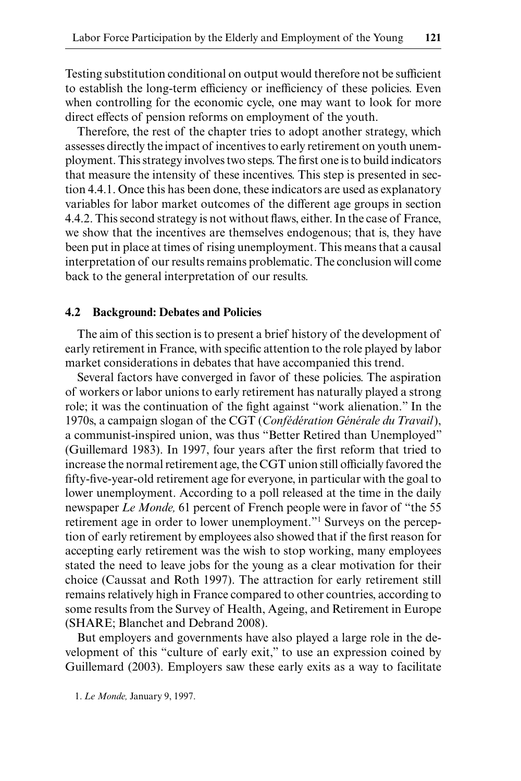Testing substitution conditional on output would therefore not be sufficient to establish the long- term efficiency or inefficiency of these policies. Even when controlling for the economic cycle, one may want to look for more direct effects of pension reforms on employment of the youth.

Therefore, the rest of the chapter tries to adopt another strategy, which assesses directly the impact of incentives to early retirement on youth unemployment. This strategy involves two steps. The first one is to build indicators that measure the intensity of these incentives. This step is presented in section 4.4.1. Once this has been done, these indicators are used as explanatory variables for labor market outcomes of the different age groups in section 4.4.2. This second strategy is not without flaws, either. In the case of France, we show that the incentives are themselves endogenous; that is, they have been put in place at times of rising unemployment. This means that a causal interpretation of our results remains problematic. The conclusion will come back to the general interpretation of our results.

#### **4.2 Background: Debates and Policies**

The aim of this section is to present a brief history of the development of early retirement in France, with specific attention to the role played by labor market considerations in debates that have accompanied this trend.

Several factors have converged in favor of these policies. The aspiration of workers or labor unions to early retirement has naturally played a strong role; it was the continuation of the fight against "work alienation." In the 1970s, a campaign slogan of the CGT (*Confédération Générale du Travail*), a communist-inspired union, was thus "Better Retired than Unemployed" (Guillemard 1983). In 1997, four years after the first reform that tried to increase the normal retirement age, the CGT union still officially favored the fifty-five-year-old retirement age for everyone, in particular with the goal to lower unemployment. According to a poll released at the time in the daily newspaper *Le Monde,* 61 percent of French people were in favor of "the 55 retirement age in order to lower unemployment."<sup>1</sup> Surveys on the perception of early retirement by employees also showed that if the first reason for accepting early retirement was the wish to stop working, many employees stated the need to leave jobs for the young as a clear motivation for their choice (Caussat and Roth 1997). The attraction for early retirement still remains relatively high in France compared to other countries, according to some results from the Survey of Health, Ageing, and Retirement in Europe (SHARE; Blanchet and Debrand 2008).

But employers and governments have also played a large role in the development of this "culture of early exit," to use an expression coined by Guillemard (2003). Employers saw these early exits as a way to facilitate

<sup>1.</sup> *Le Monde,* January 9, 1997.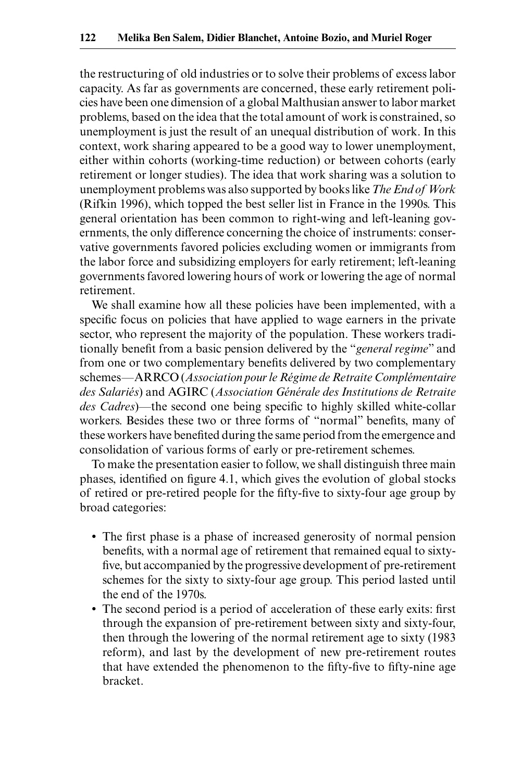the restructuring of old industries or to solve their problems of excess labor capacity. As far as governments are concerned, these early retirement policies have been one dimension of a global Malthusian answer to labor market problems, based on the idea that the total amount of work is constrained, so unemployment is just the result of an unequal distribution of work. In this context, work sharing appeared to be a good way to lower unemployment, either within cohorts (working-time reduction) or between cohorts (early retirement or longer studies). The idea that work sharing was a solution to unemployment problems was also supported by books like *The End of Work* (Rifkin 1996), which topped the best seller list in France in the 1990s. This general orientation has been common to right- wing and left- leaning governments, the only difference concerning the choice of instruments: conservative governments favored policies excluding women or immigrants from the labor force and subsidizing employers for early retirement; left- leaning governments favored lowering hours of work or lowering the age of normal retirement.

We shall examine how all these policies have been implemented, with a specific focus on policies that have applied to wage earners in the private sector, who represent the majority of the population. These workers traditionally benefit from a basic pension delivered by the "*general regime*" and from one or two complementary benefits delivered by two complementary schemes—ARRCO (*Association pour le Régime de Retraite Complémentaire des Salariés*) and AGIRC (*Association Générale des Institutions de Retraite des Cadres*)—the second one being specific to highly skilled white-collar workers. Besides these two or three forms of "normal" benefits, many of these workers have benefited during the same period from the emergence and consolidation of various forms of early or pre- retirement schemes.

To make the presentation easier to follow, we shall distinguish three main phases, identified on figure 4.1, which gives the evolution of global stocks of retired or pre-retired people for the fifty-five to sixty-four age group by broad categories:

- The first phase is a phase of increased generosity of normal pension benefits, with a normal age of retirement that remained equal to sixtyfive, but accompanied by the progressive development of pre-retirement schemes for the sixty to sixty-four age group. This period lasted until the end of the 1970s.
- The second period is a period of acceleration of these early exits: first through the expansion of pre- retirement between sixty and sixty- four, then through the lowering of the normal retirement age to sixty (1983 reform), and last by the development of new pre-retirement routes that have extended the phenomenon to the fifty-five to fifty-nine age bracket.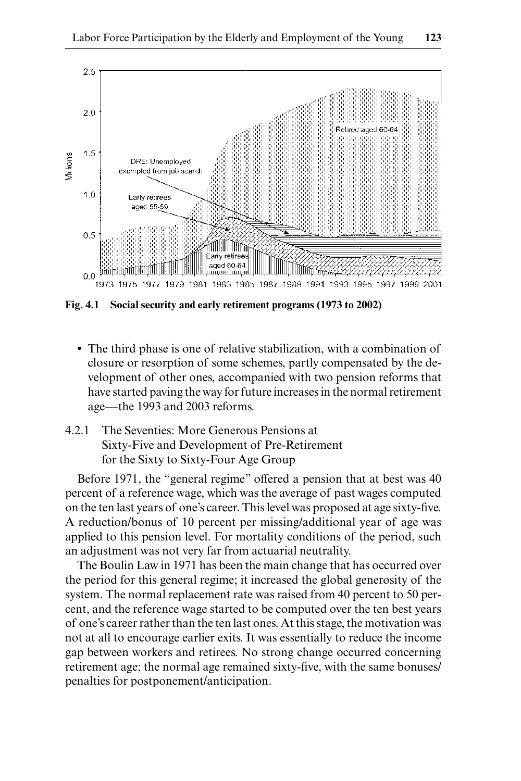

**Fig. 4.1 Social security and early retirement programs (1973 to 2002)**

- The third phase is one of relative stabilization, with a combination of closure or resorption of some schemes, partly compensated by the development of other ones, accompanied with two pension reforms that have started paving the way for future increases in the normal retirement age—the 1993 and 2003 reforms.
- 4.2.1 The Seventies: More Generous Pensions at Sixty- Five and Development of Pre- Retirement for the Sixty to Sixty-Four Age Group

Before 1971, the "general regime" offered a pension that at best was 40 percent of a reference wage, which was the average of past wages computed on the ten last years of one's career. This level was proposed at age sixty-five. A reduction/bonus of 10 percent per missing/additional year of age was applied to this pension level. For mortality conditions of the period, such an adjustment was not very far from actuarial neutrality.

The Boulin Law in 1971 has been the main change that has occurred over the period for this general regime; it increased the global generosity of the system. The normal replacement rate was raised from 40 percent to 50 percent, and the reference wage started to be computed over the ten best years of one's career rather than the ten last ones. At this stage, the motivation was not at all to encourage earlier exits. It was essentially to reduce the income gap between workers and retirees. No strong change occurred concerning retirement age; the normal age remained sixty-five, with the same bonuses/ penalties for postponement/anticipation.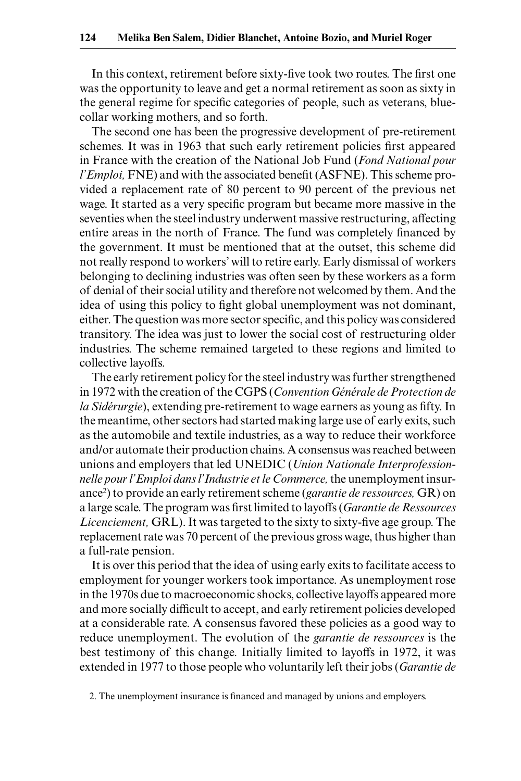In this context, retirement before sixty-five took two routes. The first one was the opportunity to leave and get a normal retirement as soon as sixty in the general regime for specific categories of people, such as veterans, bluecollar working mothers, and so forth.

The second one has been the progressive development of pre- retirement schemes. It was in 1963 that such early retirement policies first appeared in France with the creation of the National Job Fund (*Fond National pour l'Emploi*, FNE) and with the associated benefit (ASFNE). This scheme provided a replacement rate of 80 percent to 90 percent of the previous net wage. It started as a very specific program but became more massive in the seventies when the steel industry underwent massive restructuring, affecting entire areas in the north of France. The fund was completely financed by the government. It must be mentioned that at the outset, this scheme did not really respond to workers' will to retire early. Early dismissal of workers belonging to declining industries was often seen by these workers as a form of denial of their social utility and therefore not welcomed by them. And the idea of using this policy to fight global unemployment was not dominant, either. The question was more sector specific, and this policy was considered transitory. The idea was just to lower the social cost of restructuring older industries. The scheme remained targeted to these regions and limited to collective layoffs.

The early retirement policy for the steel industry was further strengthened in 1972 with the creation of the CGPS (*Convention Générale de Protection de la Sidérurgie*), extending pre-retirement to wage earners as young as fifty. In the meantime, other sectors had started making large use of early exits, such as the automobile and textile industries, as a way to reduce their workforce and/or automate their production chains. A consensus was reached between unions and employers that led UNEDIC (*Union Nationale Interprofessionnelle pour l'Emploi dans l'Industrie et le Commerce,* the unemployment insurance2 ) to provide an early retirement scheme (*garantie de ressources,* GR) on a large scale. The program was first limited to layoffs (*Garantie de Ressources Licenciement,* GRL). It was targeted to the sixty to sixty-five age group. The replacement rate was 70 percent of the previous gross wage, thus higher than a full-rate pension.

It is over this period that the idea of using early exits to facilitate access to employment for younger workers took importance. As unemployment rose in the 1970s due to macroeconomic shocks, collective layoffs appeared more and more socially difficult to accept, and early retirement policies developed at a considerable rate. A consensus favored these policies as a good way to reduce unemployment. The evolution of the *garantie de ressources* is the best testimony of this change. Initially limited to layoffs in 1972, it was extended in 1977 to those people who voluntarily left their jobs (*Garantie de* 

<sup>2.</sup> The unemployment insurance is financed and managed by unions and employers.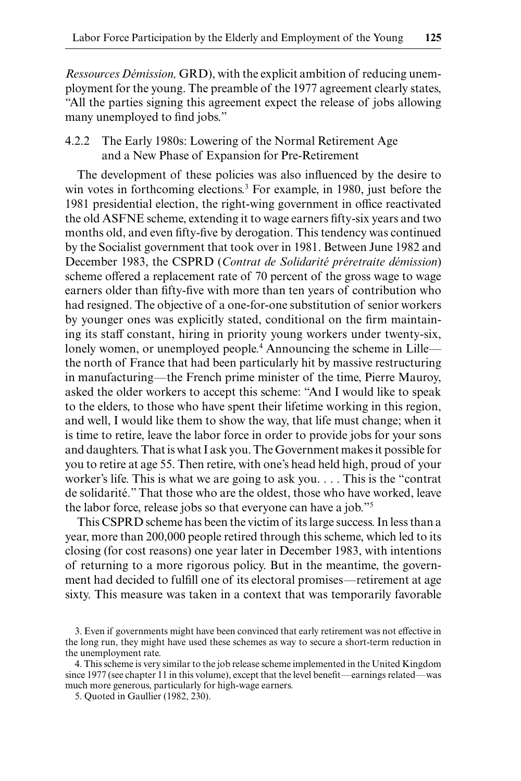*Ressources Démission,* GRD), with the explicit ambition of reducing unemployment for the young. The preamble of the 1977 agreement clearly states, "All the parties signing this agreement expect the release of jobs allowing many unemployed to find jobs."

4.2.2 The Early 1980s: Lowering of the Normal Retirement Age and a New Phase of Expansion for Pre- Retirement

The development of these policies was also influenced by the desire to win votes in forthcoming elections.<sup>3</sup> For example, in 1980, just before the 1981 presidential election, the right- wing government in office reactivated the old ASFNE scheme, extending it to wage earners fifty-six years and two months old, and even fifty-five by derogation. This tendency was continued by the Socialist government that took over in 1981. Between June 1982 and December 1983, the CSPRD (*Contrat de Solidarité préretraite démission*) scheme offered a replacement rate of 70 percent of the gross wage to wage earners older than fifty-five with more than ten years of contribution who had resigned. The objective of a one-for-one substitution of senior workers by younger ones was explicitly stated, conditional on the firm maintaining its staff constant, hiring in priority young workers under twenty-six, lonely women, or unemployed people.<sup>4</sup> Announcing the scheme in Lille the north of France that had been particularly hit by massive restructuring in manufacturing—the French prime minister of the time, Pierre Mauroy, asked the older workers to accept this scheme: "And I would like to speak to the elders, to those who have spent their lifetime working in this region, and well, I would like them to show the way, that life must change; when it is time to retire, leave the labor force in order to provide jobs for your sons and daughters. That is what I ask you. The Government makes it possible for you to retire at age 55. Then retire, with one's head held high, proud of your worker's life. This is what we are going to ask you. . . . This is the "contrat de solidarité." That those who are the oldest, those who have worked, leave the labor force, release jobs so that everyone can have a job."5

This CSPRD scheme has been the victim of its large success. In less than a year, more than 200,000 people retired through this scheme, which led to its closing (for cost reasons) one year later in December 1983, with intentions of returning to a more rigorous policy. But in the meantime, the government had decided to fulfill one of its electoral promises—retirement at age sixty. This measure was taken in a context that was temporarily favorable

<sup>3.</sup> Even if governments might have been convinced that early retirement was not effective in the long run, they might have used these schemes as way to secure a short- term reduction in the unemployment rate.

<sup>4.</sup> This scheme is very similar to the job release scheme implemented in the United Kingdom since 1977 (see chapter 11 in this volume), except that the level benefit—earnings related—was much more generous, particularly for high-wage earners.

<sup>5.</sup> Quoted in Gaullier (1982, 230).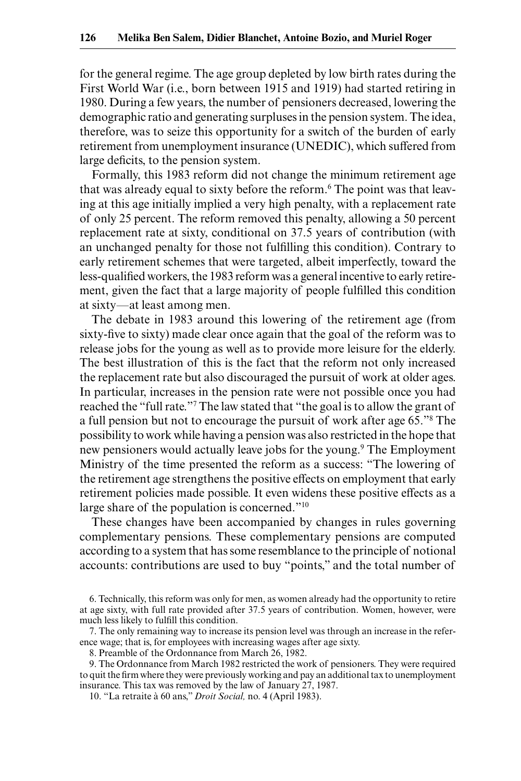for the general regime. The age group depleted by low birth rates during the First World War (i.e., born between 1915 and 1919) had started retiring in 1980. During a few years, the number of pensioners decreased, lowering the demographic ratio and generating surpluses in the pension system. The idea, therefore, was to seize this opportunity for a switch of the burden of early retirement from unemployment insurance (UNEDIC), which suffered from large deficits, to the pension system.

Formally, this 1983 reform did not change the minimum retirement age that was already equal to sixty before the reform.<sup>6</sup> The point was that leaving at this age initially implied a very high penalty, with a replacement rate of only 25 percent. The reform removed this penalty, allowing a 50 percent replacement rate at sixty, conditional on 37.5 years of contribution (with an unchanged penalty for those not fulfilling this condition). Contrary to early retirement schemes that were targeted, albeit imperfectly, toward the less-qualified workers, the 1983 reform was a general incentive to early retirement, given the fact that a large majority of people fulfilled this condition at sixty—at least among men.

The debate in 1983 around this lowering of the retirement age (from sixty-five to sixty) made clear once again that the goal of the reform was to release jobs for the young as well as to provide more leisure for the elderly. The best illustration of this is the fact that the reform not only increased the replacement rate but also discouraged the pursuit of work at older ages. In particular, increases in the pension rate were not possible once you had reached the "full rate."7 The law stated that "the goal is to allow the grant of a full pension but not to encourage the pursuit of work after age 65."8 The possibility to work while having a pension was also restricted in the hope that new pensioners would actually leave jobs for the young.<sup>9</sup> The Employment Ministry of the time presented the reform as a success: "The lowering of the retirement age strengthens the positive effects on employment that early retirement policies made possible. It even widens these positive effects as a large share of the population is concerned."10

These changes have been accompanied by changes in rules governing complementary pensions. These complementary pensions are computed according to a system that has some resemblance to the principle of notional accounts: contributions are used to buy "points," and the total number of

7. The only remaining way to increase its pension level was through an increase in the reference wage; that is, for employees with increasing wages after age sixty.

8. Preamble of the Ordonnance from March 26, 1982.

9. The Ordonnance from March 1982 restricted the work of pensioners. They were required to quit the firm where they were previously working and pay an additional tax to unemployment insurance. This tax was removed by the law of January 27, 1987.

<sup>6.</sup> Technically, this reform was only for men, as women already had the opportunity to retire at age sixty, with full rate provided after 37.5 years of contribution. Women, however, were much less likely to fulfill this condition.

<sup>10. &</sup>quot;La retraite à 60 ans," *Droit Social,* no. 4 (April 1983).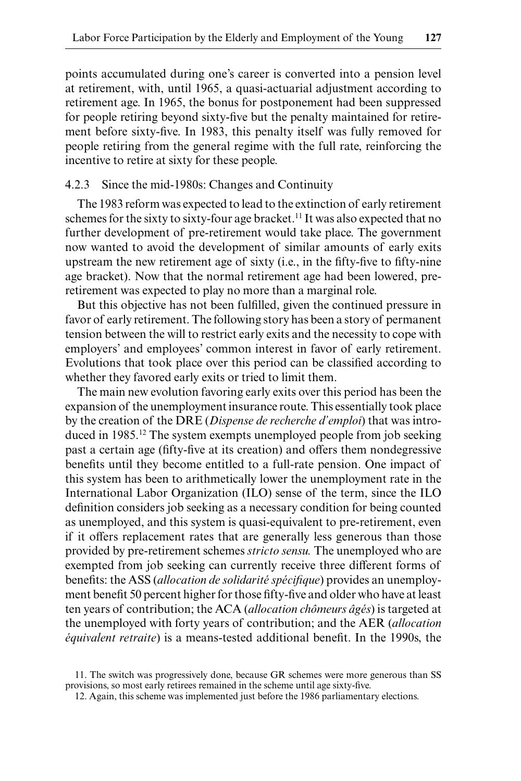points accumulated during one's career is converted into a pension level at retirement, with, until 1965, a quasi- actuarial adjustment according to retirement age. In 1965, the bonus for postponement had been suppressed for people retiring beyond sixty-five but the penalty maintained for retirement before sixty-five. In 1983, this penalty itself was fully removed for people retiring from the general regime with the full rate, reinforcing the incentive to retire at sixty for these people.

## 4.2.3 Since the mid- 1980s: Changes and Continuity

The 1983 reform was expected to lead to the extinction of early retirement schemes for the sixty to sixty-four age bracket.<sup>11</sup> It was also expected that no further development of pre- retirement would take place. The government now wanted to avoid the development of similar amounts of early exits upstream the new retirement age of sixty  $(i.e., in the fifty-five to fifty-nine$ age bracket). Now that the normal retirement age had been lowered, pre retirement was expected to play no more than a marginal role.

But this objective has not been fulfilled, given the continued pressure in favor of early retirement. The following story has been a story of permanent tension between the will to restrict early exits and the necessity to cope with employers' and employees' common interest in favor of early retirement. Evolutions that took place over this period can be classified according to whether they favored early exits or tried to limit them.

The main new evolution favoring early exits over this period has been the expansion of the unemployment insurance route. This essentially took place by the creation of the DRE (*Dispense de recherche d'emploi*) that was introduced in 1985.12 The system exempts unemployed people from job seeking past a certain age (fifty-five at its creation) and offers them nondegressive benefits until they become entitled to a full-rate pension. One impact of this system has been to arithmetically lower the unemployment rate in the International Labor Organization (ILO) sense of the term, since the ILO definition considers job seeking as a necessary condition for being counted as unemployed, and this system is quasi-equivalent to pre-retirement, even if it offers replacement rates that are generally less generous than those provided by pre- retirement schemes *stricto sensu.* The unemployed who are exempted from job seeking can currently receive three different forms of benefits: the ASS (*allocation de solidarité spécifique*) provides an unemployment benefit 50 percent higher for those fifty-five and older who have at least ten years of contribution; the ACA (*allocation chômeurs âgés*) is targeted at the unemployed with forty years of contribution; and the AER (*allocation équivalent retraite*) is a means-tested additional benefit. In the 1990s, the

<sup>11.</sup> The switch was progressively done, because GR schemes were more generous than SS provisions, so most early retirees remained in the scheme until age sixty-five.

<sup>12.</sup> Again, this scheme was implemented just before the 1986 parliamentary elections.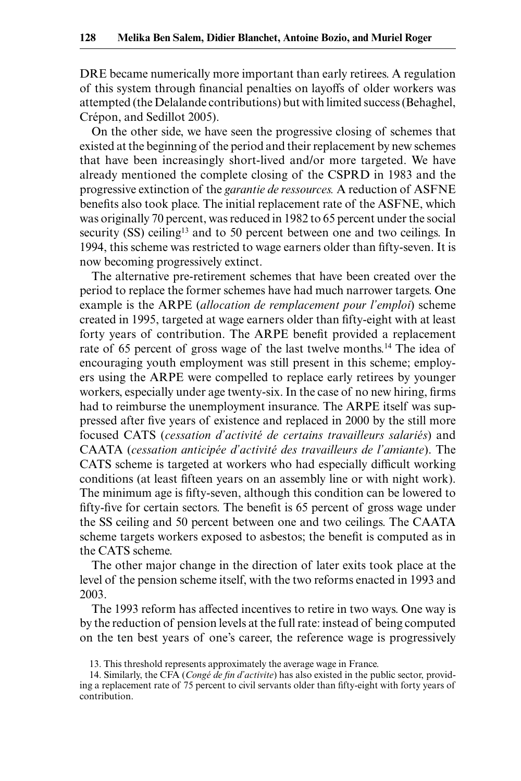DRE became numerically more important than early retirees. A regulation of this system through financial penalties on layoffs of older workers was attempted (the Delalande contributions) but with limited success (Behaghel, Crépon, and Sedillot 2005).

On the other side, we have seen the progressive closing of schemes that existed at the beginning of the period and their replacement by new schemes that have been increasingly short- lived and/or more targeted. We have already mentioned the complete closing of the CSPRD in 1983 and the progressive extinction of the *garantie de ressources.* A reduction of ASFNE benefits also took place. The initial replacement rate of the ASFNE, which was originally 70 percent, was reduced in 1982 to 65 percent under the social security (SS) ceiling<sup>13</sup> and to 50 percent between one and two ceilings. In 1994, this scheme was restricted to wage earners older than fifty-seven. It is now becoming progressively extinct.

The alternative pre- retirement schemes that have been created over the period to replace the former schemes have had much narrower targets. One example is the ARPE (*allocation de remplacement pour l'emploi*) scheme created in 1995, targeted at wage earners older than fifty-eight with at least forty years of contribution. The ARPE benefit provided a replacement rate of 65 percent of gross wage of the last twelve months.<sup>14</sup> The idea of encouraging youth employment was still present in this scheme; employers using the ARPE were compelled to replace early retirees by younger workers, especially under age twenty-six. In the case of no new hiring, firms had to reimburse the unemployment insurance. The ARPE itself was suppressed after five years of existence and replaced in 2000 by the still more focused CATS (*cessation d'activité de certains travailleurs salariés*) and CAATA (*cessation anticipée d'activité des travailleurs de l'amiante*). The CATS scheme is targeted at workers who had especially difficult working conditions (at least fifteen years on an assembly line or with night work). The minimum age is fifty-seven, although this condition can be lowered to fifty-five for certain sectors. The benefit is 65 percent of gross wage under the SS ceiling and 50 percent between one and two ceilings. The CAATA scheme targets workers exposed to asbestos; the benefit is computed as in the CATS scheme.

The other major change in the direction of later exits took place at the level of the pension scheme itself, with the two reforms enacted in 1993 and 2003.

The 1993 reform has affected incentives to retire in two ways. One way is by the reduction of pension levels at the full rate: instead of being computed on the ten best years of one's career, the reference wage is progressively

<sup>13.</sup> This threshold represents approximately the average wage in France.

<sup>14.</sup> Similarly, the CFA (*Congé de fin d'activite*) has also existed in the public sector, providing a replacement rate of 75 percent to civil servants older than fifty-eight with forty years of contribution.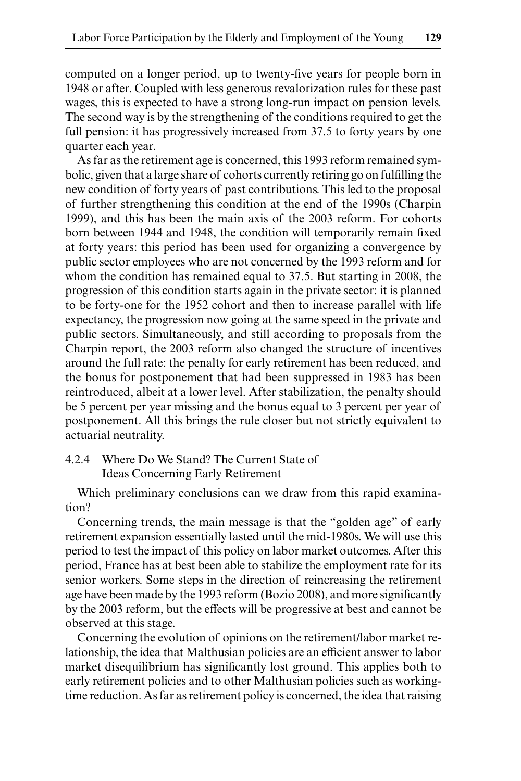computed on a longer period, up to twenty-five years for people born in 1948 or after. Coupled with less generous revalorization rules for these past wages, this is expected to have a strong long-run impact on pension levels. The second way is by the strengthening of the conditions required to get the full pension: it has progressively increased from 37.5 to forty years by one quarter each year.

As far as the retirement age is concerned, this 1993 reform remained symbolic, given that a large share of cohorts currently retiring go on fulfilling the new condition of forty years of past contributions. This led to the proposal of further strengthening this condition at the end of the 1990s (Charpin 1999), and this has been the main axis of the 2003 reform. For cohorts born between 1944 and 1948, the condition will temporarily remain fixed at forty years: this period has been used for organizing a convergence by public sector employees who are not concerned by the 1993 reform and for whom the condition has remained equal to 37.5. But starting in 2008, the progression of this condition starts again in the private sector: it is planned to be forty- one for the 1952 cohort and then to increase parallel with life expectancy, the progression now going at the same speed in the private and public sectors. Simultaneously, and still according to proposals from the Charpin report, the 2003 reform also changed the structure of incentives around the full rate: the penalty for early retirement has been reduced, and the bonus for postponement that had been suppressed in 1983 has been reintroduced, albeit at a lower level. After stabilization, the penalty should be 5 percent per year missing and the bonus equal to 3 percent per year of postponement. All this brings the rule closer but not strictly equivalent to actuarial neutrality.

4.2.4 Where Do We Stand? The Current State of Ideas Concerning Early Retirement

Which preliminary conclusions can we draw from this rapid examination?

Concerning trends, the main message is that the "golden age" of early retirement expansion essentially lasted until the mid- 1980s. We will use this period to test the impact of this policy on labor market outcomes. After this period, France has at best been able to stabilize the employment rate for its senior workers. Some steps in the direction of reincreasing the retirement age have been made by the 1993 reform (Bozio 2008), and more significantly by the 2003 reform, but the effects will be progressive at best and cannot be observed at this stage.

Concerning the evolution of opinions on the retirement/labor market relationship, the idea that Malthusian policies are an efficient answer to labor market disequilibrium has significantly lost ground. This applies both to early retirement policies and to other Malthusian policies such as working time reduction. As far as retirement policy is concerned, the idea that raising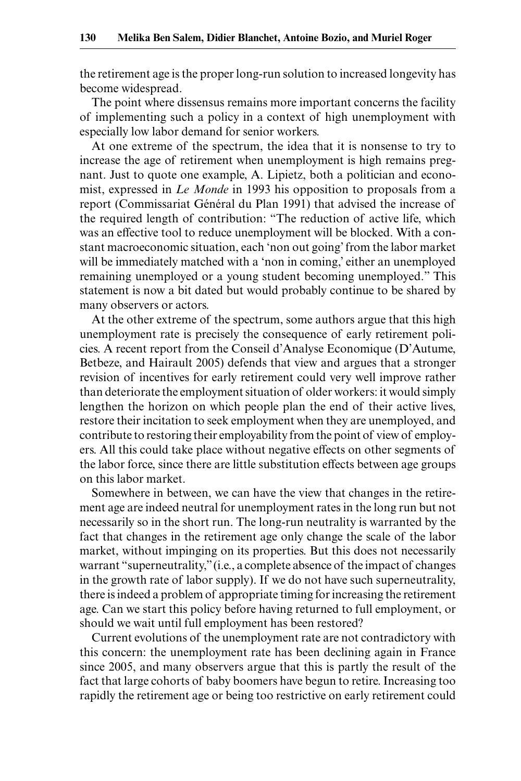the retirement age is the proper long-run solution to increased longevity has become widespread.

The point where dissensus remains more important concerns the facility of implementing such a policy in a context of high unemployment with especially low labor demand for senior workers.

At one extreme of the spectrum, the idea that it is nonsense to try to increase the age of retirement when unemployment is high remains pregnant. Just to quote one example, A. Lipietz, both a politician and economist, expressed in *Le Monde* in 1993 his opposition to proposals from a report (Commissariat Général du Plan 1991) that advised the increase of the required length of contribution: "The reduction of active life, which was an effective tool to reduce unemployment will be blocked. With a constant macroeconomic situation, each 'non out going' from the labor market will be immediately matched with a 'non in coming,' either an unemployed remaining unemployed or a young student becoming unemployed." This statement is now a bit dated but would probably continue to be shared by many observers or actors.

At the other extreme of the spectrum, some authors argue that this high unemployment rate is precisely the consequence of early retirement policies. A recent report from the Conseil d'Analyse Economique (D'Autume, Betbeze, and Hairault 2005) defends that view and argues that a stronger revision of incentives for early retirement could very well improve rather than deteriorate the employment situation of older workers: it would simply lengthen the horizon on which people plan the end of their active lives, restore their incitation to seek employment when they are unemployed, and contribute to restoring their employability from the point of view of employers. All this could take place without negative effects on other segments of the labor force, since there are little substitution effects between age groups on this labor market.

Somewhere in between, we can have the view that changes in the retirement age are indeed neutral for unemployment rates in the long run but not necessarily so in the short run. The long-run neutrality is warranted by the fact that changes in the retirement age only change the scale of the labor market, without impinging on its properties. But this does not necessarily warrant "superneutrality," (i.e., a complete absence of the impact of changes in the growth rate of labor supply). If we do not have such superneutrality, there is indeed a problem of appropriate timing for increasing the retirement age. Can we start this policy before having returned to full employment, or should we wait until full employment has been restored?

Current evolutions of the unemployment rate are not contradictory with this concern: the unemployment rate has been declining again in France since 2005, and many observers argue that this is partly the result of the fact that large cohorts of baby boomers have begun to retire. Increasing too rapidly the retirement age or being too restrictive on early retirement could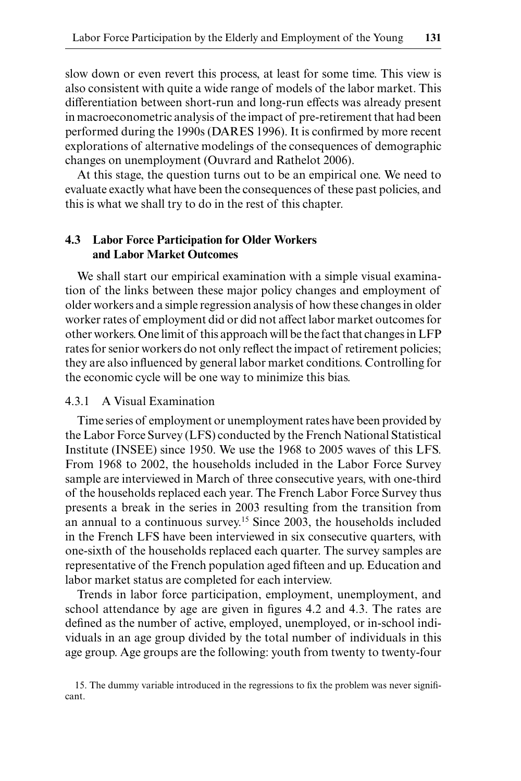slow down or even revert this process, at least for some time. This view is also consistent with quite a wide range of models of the labor market. This differentiation between short-run and long-run effects was already present in macroeconometric analysis of the impact of pre- retirement that had been performed during the 1990s (DARES 1996). It is confirmed by more recent explorations of alternative modelings of the consequences of demographic changes on unemployment (Ouvrard and Rathelot 2006).

At this stage, the question turns out to be an empirical one. We need to evaluate exactly what have been the consequences of these past policies, and this is what we shall try to do in the rest of this chapter.

# **4.3 Labor Force Participation for Older Workers and Labor Market Outcomes**

We shall start our empirical examination with a simple visual examination of the links between these major policy changes and employment of older workers and a simple regression analysis of how these changes in older worker rates of employment did or did not affect labor market outcomes for other workers. One limit of this approach will be the fact that changes in LFP rates for senior workers do not only reflect the impact of retirement policies; they are also influenced by general labor market conditions. Controlling for the economic cycle will be one way to minimize this bias.

## 4.3.1 A Visual Examination

Time series of employment or unemployment rates have been provided by the Labor Force Survey (LFS) conducted by the French National Statistical Institute (INSEE) since 1950. We use the 1968 to 2005 waves of this LFS. From 1968 to 2002, the households included in the Labor Force Survey sample are interviewed in March of three consecutive years, with one-third of the households replaced each year. The French Labor Force Survey thus presents a break in the series in 2003 resulting from the transition from an annual to a continuous survey.15 Since 2003, the households included in the French LFS have been interviewed in six consecutive quarters, with one- sixth of the households replaced each quarter. The survey samples are representative of the French population aged fifteen and up. Education and labor market status are completed for each interview.

Trends in labor force participation, employment, unemployment, and school attendance by age are given in figures 4.2 and 4.3. The rates are defined as the number of active, employed, unemployed, or in-school individuals in an age group divided by the total number of individuals in this age group. Age groups are the following: youth from twenty to twenty-four

<sup>15.</sup> The dummy variable introduced in the regressions to fix the problem was never significant.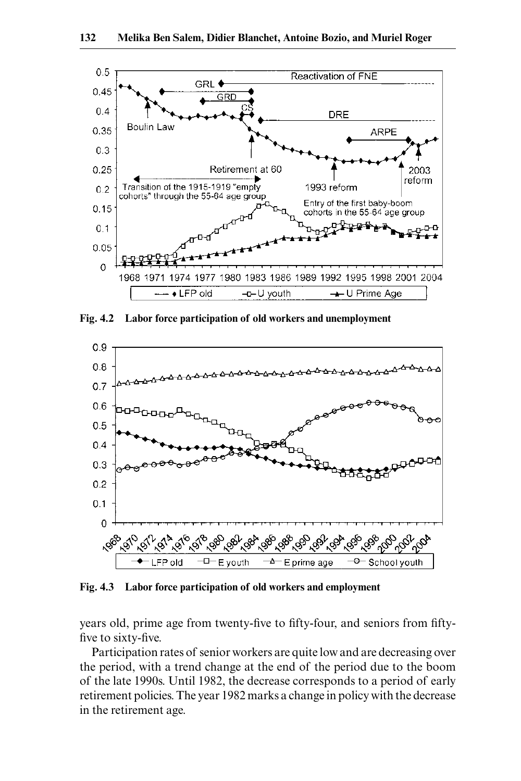

**Fig. 4.2 Labor force participation of old workers and unemployment**



**Fig. 4.3 Labor force participation of old workers and employment**

years old, prime age from twenty-five to fifty-four, and seniors from fiftyfive to sixty-five.

Participation rates of senior workers are quite low and are decreasing over the period, with a trend change at the end of the period due to the boom of the late 1990s. Until 1982, the decrease corresponds to a period of early retirement policies. The year 1982 marks a change in policy with the decrease in the retirement age.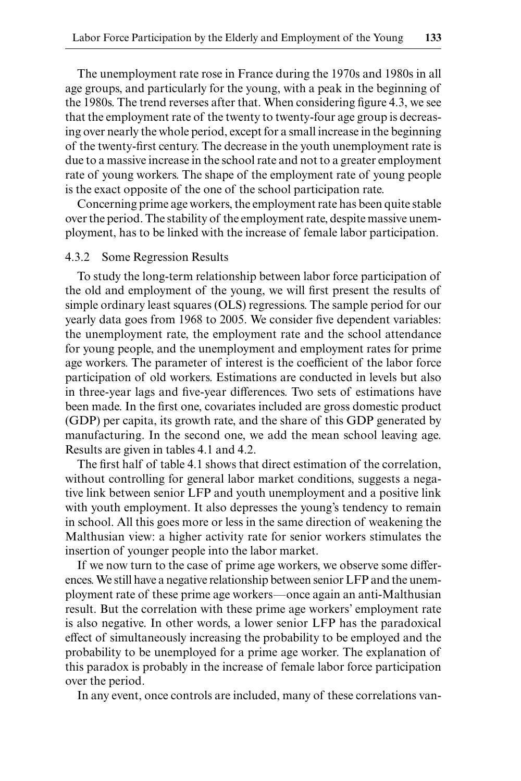The unemployment rate rose in France during the 1970s and 1980s in all age groups, and particularly for the young, with a peak in the beginning of the 1980s. The trend reverses after that. When considering figure 4.3, we see that the employment rate of the twenty to twenty- four age group is decreasing over nearly the whole period, except for a small increase in the beginning of the twenty-first century. The decrease in the youth unemployment rate is due to a massive increase in the school rate and not to a greater employment rate of young workers. The shape of the employment rate of young people is the exact opposite of the one of the school participation rate.

Concerning prime age workers, the employment rate has been quite stable over the period. The stability of the employment rate, despite massive unemployment, has to be linked with the increase of female labor participation.

#### 4.3.2 Some Regression Results

To study the long- term relationship between labor force participation of the old and employment of the young, we will first present the results of simple ordinary least squares (OLS) regressions. The sample period for our yearly data goes from 1968 to 2005. We consider five dependent variables: the unemployment rate, the employment rate and the school attendance for young people, and the unemployment and employment rates for prime age workers. The parameter of interest is the coefficient of the labor force participation of old workers. Estimations are conducted in levels but also in three-year lags and five-year differences. Two sets of estimations have been made. In the first one, covariates included are gross domestic product (GDP) per capita, its growth rate, and the share of this GDP generated by manufacturing. In the second one, we add the mean school leaving age. Results are given in tables 4.1 and 4.2.

The first half of table 4.1 shows that direct estimation of the correlation, without controlling for general labor market conditions, suggests a negative link between senior LFP and youth unemployment and a positive link with youth employment. It also depresses the young's tendency to remain in school. All this goes more or less in the same direction of weakening the Malthusian view: a higher activity rate for senior workers stimulates the insertion of younger people into the labor market.

If we now turn to the case of prime age workers, we observe some differences. We still have a negative relationship between senior LFP and the unemployment rate of these prime age workers—once again an anti- Malthusian result. But the correlation with these prime age workers' employment rate is also negative. In other words, a lower senior LFP has the paradoxical effect of simultaneously increasing the probability to be employed and the probability to be unemployed for a prime age worker. The explanation of this paradox is probably in the increase of female labor force participation over the period.

In any event, once controls are included, many of these correlations van-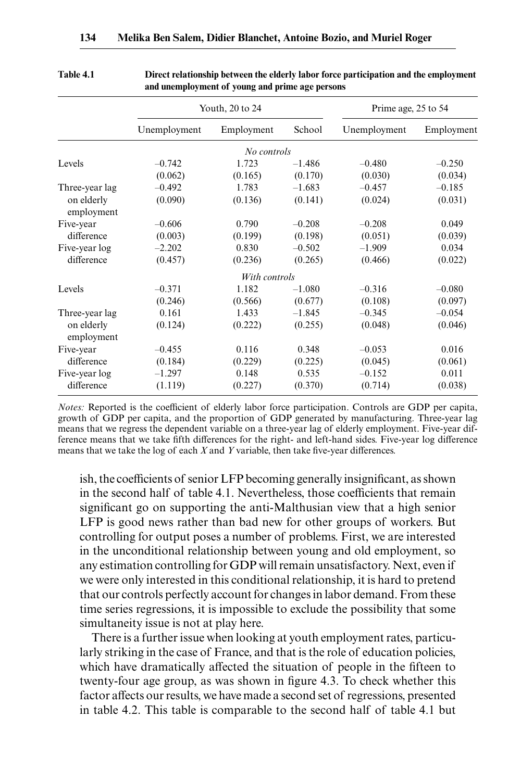|                          | Youth, 20 to 24 |               |          | Prime age, 25 to 54 |            |
|--------------------------|-----------------|---------------|----------|---------------------|------------|
|                          | Unemployment    | Employment    | School   | Unemployment        | Employment |
|                          |                 | No controls   |          |                     |            |
| Levels                   | $-0.742$        | 1.723         | $-1.486$ | $-0.480$            | $-0.250$   |
|                          | (0.062)         | (0.165)       | (0.170)  | (0.030)             | (0.034)    |
| Three-year lag           | $-0.492$        | 1.783         | $-1.683$ | $-0.457$            | $-0.185$   |
| on elderly<br>employment | (0.090)         | (0.136)       | (0.141)  | (0.024)             | (0.031)    |
| Five-year                | $-0.606$        | 0.790         | $-0.208$ | $-0.208$            | 0.049      |
| difference               | (0.003)         | (0.199)       | (0.198)  | (0.051)             | (0.039)    |
| Five-year log            | $-2.202$        | 0.830         | $-0.502$ | $-1.909$            | 0.034      |
| difference               | (0.457)         | (0.236)       | (0.265)  | (0.466)             | (0.022)    |
|                          |                 | With controls |          |                     |            |
| Levels                   | $-0.371$        | 1.182         | $-1.080$ | $-0.316$            | $-0.080$   |
|                          | (0.246)         | (0.566)       | (0.677)  | (0.108)             | (0.097)    |
| Three-year lag           | 0.161           | 1.433         | $-1.845$ | $-0.345$            | $-0.054$   |
| on elderly<br>employment | (0.124)         | (0.222)       | (0.255)  | (0.048)             | (0.046)    |
| Five-year                | $-0.455$        | 0.116         | 0.348    | $-0.053$            | 0.016      |
| difference               | (0.184)         | (0.229)       | (0.225)  | (0.045)             | (0.061)    |
| Five-year log            | $-1.297$        | 0.148         | 0.535    | $-0.152$            | 0.011      |
| difference               | (1.119)         | (0.227)       | (0.370)  | (0.714)             | (0.038)    |

#### **Table 4.1 Direct relationship between the elderly labor force participation and the employment and unemployment of young and prime age persons**

*Notes:* Reported is the coefficient of elderly labor force participation. Controls are GDP per capita, growth of GDP per capita, and the proportion of GDP generated by manufacturing. Three- year lag means that we regress the dependent variable on a three- year lag of elderly employment. Five- year difference means that we take fifth differences for the right- and left-hand sides. Five-year log difference means that we take the log of each *X* and *Y* variable, then take five-year differences.

ish, the coefficients of senior LFP becoming generally insignificant, as shown in the second half of table 4.1. Nevertheless, those coefficients that remain significant go on supporting the anti-Malthusian view that a high senior LFP is good news rather than bad new for other groups of workers. But controlling for output poses a number of problems. First, we are interested in the unconditional relationship between young and old employment, so any estimation controlling for GDP will remain unsatisfactory. Next, even if we were only interested in this conditional relationship, it is hard to pretend that our controls perfectly account for changes in labor demand. From these time series regressions, it is impossible to exclude the possibility that some simultaneity issue is not at play here.

There is a further issue when looking at youth employment rates, particularly striking in the case of France, and that is the role of education policies, which have dramatically affected the situation of people in the fifteen to twenty-four age group, as was shown in figure 4.3. To check whether this factor affects our results, we have made a second set of regressions, presented in table 4.2. This table is comparable to the second half of table 4.1 but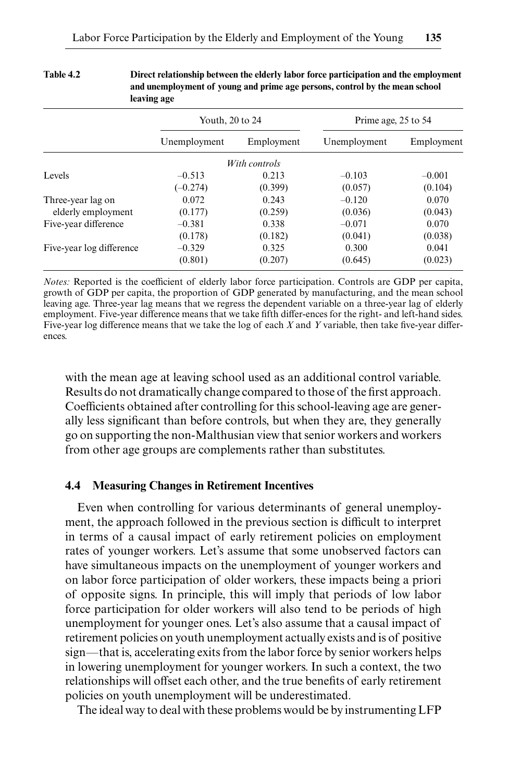|                          | Youth, 20 to 24 |               | Prime age, 25 to 54 |            |  |
|--------------------------|-----------------|---------------|---------------------|------------|--|
|                          | Unemployment    | Employment    | Unemployment        | Employment |  |
|                          |                 | With controls |                     |            |  |
| Levels                   | $-0.513$        | 0.213         | $-0.103$            | $-0.001$   |  |
|                          | $(-0.274)$      | (0.399)       | (0.057)             | (0.104)    |  |
| Three-year lag on        | 0.072           | 0.243         | $-0.120$            | 0.070      |  |
| elderly employment       | (0.177)         | (0.259)       | (0.036)             | (0.043)    |  |
| Five-year difference     | $-0.381$        | 0.338         | $-0.071$            | 0.070      |  |
|                          | (0.178)         | (0.182)       | (0.041)             | (0.038)    |  |
| Five-year log difference | $-0.329$        | 0.325         | 0.300               | 0.041      |  |
|                          | (0.801)         | (0.207)       | (0.645)             | (0.023)    |  |

#### **Table 4.2 Direct relationship between the elderly labor force participation and the employment and unemployment of young and prime age persons, control by the mean school leaving age**

*Notes:* Reported is the coefficient of elderly labor force participation. Controls are GDP per capita, growth of GDP per capita, the proportion of GDP generated by manufacturing, and the mean school leaving age. Three- year lag means that we regress the dependent variable on a three- year lag of elderly employment. Five-year difference means that we take fifth differ-ences for the right- and left-hand sides. Five-year log difference means that we take the log of each *X* and *Y* variable, then take five-year differences.

with the mean age at leaving school used as an additional control variable. Results do not dramatically change compared to those of the first approach. Coefficients obtained after controlling for this school- leaving age are generally less significant than before controls, but when they are, they generally go on supporting the non- Malthusian view that senior workers and workers from other age groups are complements rather than substitutes.

### **4.4 Measuring Changes in Retirement Incentives**

Even when controlling for various determinants of general unemployment, the approach followed in the previous section is difficult to interpret in terms of a causal impact of early retirement policies on employment rates of younger workers. Let's assume that some unobserved factors can have simultaneous impacts on the unemployment of younger workers and on labor force participation of older workers, these impacts being a priori of opposite signs. In principle, this will imply that periods of low labor force participation for older workers will also tend to be periods of high unemployment for younger ones. Let's also assume that a causal impact of retirement policies on youth unemployment actually exists and is of positive sign—that is, accelerating exits from the labor force by senior workers helps in lowering unemployment for younger workers. In such a context, the two relationships will offset each other, and the true benefits of early retirement policies on youth unemployment will be underestimated.

The ideal way to deal with these problems would be by instrumenting LFP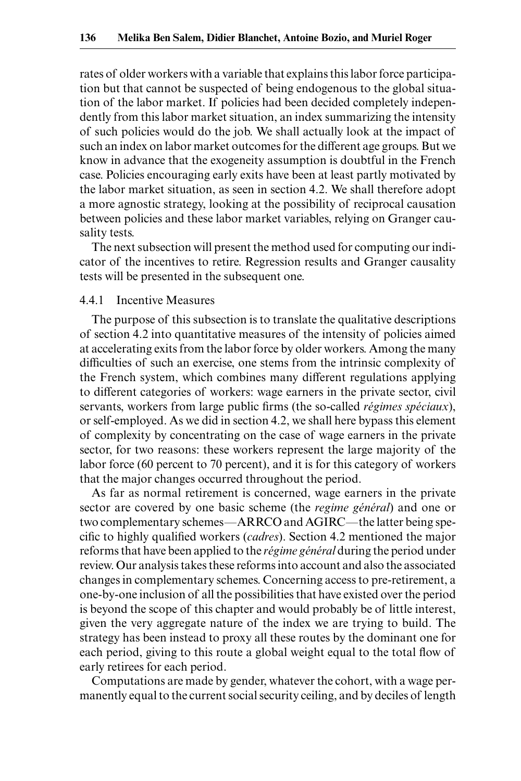rates of older workers with a variable that explains this labor force participation but that cannot be suspected of being endogenous to the global situation of the labor market. If policies had been decided completely independently from this labor market situation, an index summarizing the intensity of such policies would do the job. We shall actually look at the impact of such an index on labor market outcomes for the different age groups. But we know in advance that the exogeneity assumption is doubtful in the French case. Policies encouraging early exits have been at least partly motivated by the labor market situation, as seen in section 4.2. We shall therefore adopt a more agnostic strategy, looking at the possibility of reciprocal causation between policies and these labor market variables, relying on Granger causality tests.

The next subsection will present the method used for computing our indicator of the incentives to retire. Regression results and Granger causality tests will be presented in the subsequent one.

## 4.4.1 Incentive Measures

The purpose of this subsection is to translate the qualitative descriptions of section 4.2 into quantitative measures of the intensity of policies aimed at accelerating exits from the labor force by older workers. Among the many difficulties of such an exercise, one stems from the intrinsic complexity of the French system, which combines many different regulations applying to different categories of workers: wage earners in the private sector, civil servants, workers from large public firms (the so-called *régimes spéciaux*), or self- employed. As we did in section 4.2, we shall here bypass this element of complexity by concentrating on the case of wage earners in the private sector, for two reasons: these workers represent the large majority of the labor force (60 percent to 70 percent), and it is for this category of workers that the major changes occurred throughout the period.

As far as normal retirement is concerned, wage earners in the private sector are covered by one basic scheme (the *regime général*) and one or two complementary schemes—ARRCO and AGIRC—the latter being specific to highly qualified workers (*cadres*). Section 4.2 mentioned the major reforms that have been applied to the *régime général* during the period under review. Our analysis takes these reforms into account and also the associated changes in complementary schemes. Concerning access to pre- retirement, a one- by- one inclusion of all the possibilities that have existed over the period is beyond the scope of this chapter and would probably be of little interest, given the very aggregate nature of the index we are trying to build. The strategy has been instead to proxy all these routes by the dominant one for each period, giving to this route a global weight equal to the total flow of early retirees for each period.

Computations are made by gender, whatever the cohort, with a wage permanently equal to the current social security ceiling, and by deciles of length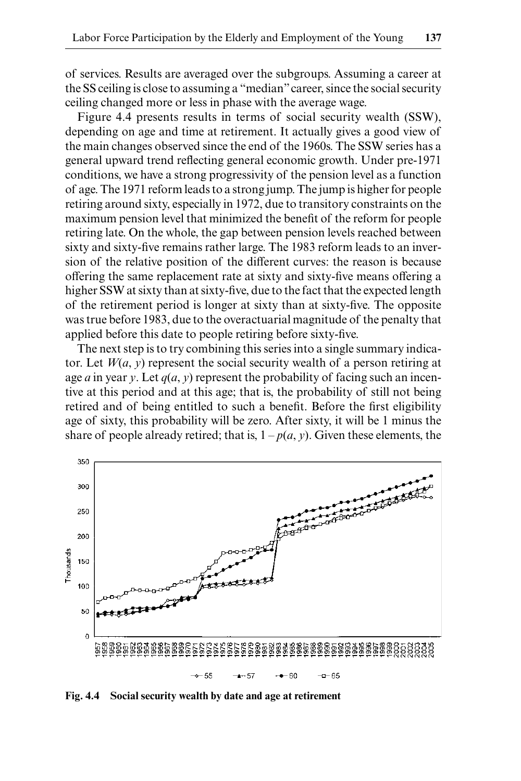of services. Results are averaged over the subgroups. Assuming a career at the SS ceiling is close to assuming a "median" career, since the social security ceiling changed more or less in phase with the average wage.

Figure 4.4 presents results in terms of social security wealth (SSW), depending on age and time at retirement. It actually gives a good view of the main changes observed since the end of the 1960s. The SSW series has a general upward trend reflecting general economic growth. Under pre-1971 conditions, we have a strong progressivity of the pension level as a function of age. The 1971 reform leads to a strong jump. The jump is higher for people retiring around sixty, especially in 1972, due to transitory constraints on the maximum pension level that minimized the benefit of the reform for people retiring late. On the whole, the gap between pension levels reached between sixty and sixty-five remains rather large. The 1983 reform leads to an inversion of the relative position of the different curves: the reason is because offering the same replacement rate at sixty and sixty-five means offering a higher SSW at sixty than at sixty-five, due to the fact that the expected length of the retirement period is longer at sixty than at sixty-five. The opposite was true before 1983, due to the overactuarial magnitude of the penalty that applied before this date to people retiring before sixty-five.

The next step is to try combining this series into a single summary indicator. Let  $W(a, y)$  represent the social security wealth of a person retiring at age *a* in year *y*. Let  $q(a, y)$  represent the probability of facing such an incentive at this period and at this age; that is, the probability of still not being retired and of being entitled to such a benefit. Before the first eligibility age of sixty, this probability will be zero. After sixty, it will be 1 minus the share of people already retired; that is,  $1 - p(a, y)$ . Given these elements, the



**Fig. 4.4 Social security wealth by date and age at retirement**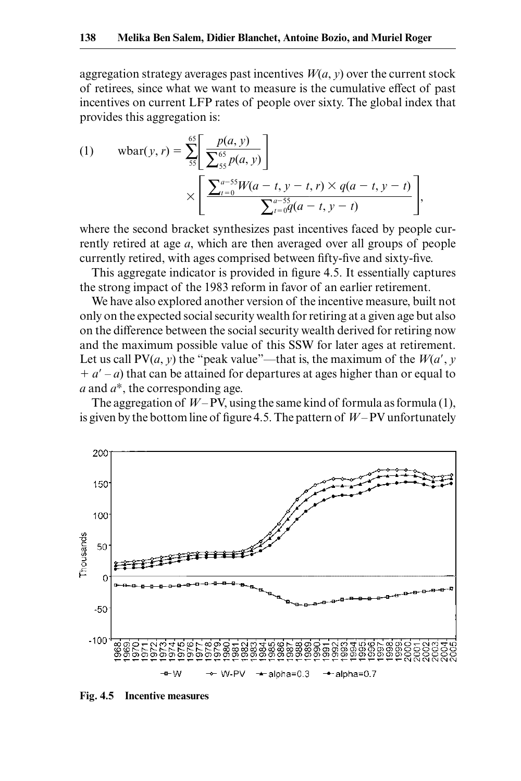aggregation strategy averages past incentives  $W(a, y)$  over the current stock of retirees, since what we want to measure is the cumulative effect of past incentives on current LFP rates of people over sixty. The global index that provides this aggregation is:

(1) 
$$
\text{wbar}(y, r) = \sum_{55}^{65} \left[ \frac{p(a, y)}{\sum_{55}^{65} p(a, y)} \right] \times \left[ \frac{\sum_{t=0}^{a-55} W(a-t, y-t, r) \times q(a-t, y-t)}{\sum_{t=0}^{a-55} q(a-t, y-t)} \right],
$$

where the second bracket synthesizes past incentives faced by people currently retired at age *a*, which are then averaged over all groups of people currently retired, with ages comprised between fifty-five and sixty-five.

This aggregate indicator is provided in figure 4.5. It essentially captures the strong impact of the 1983 reform in favor of an earlier retirement.

We have also explored another version of the incentive measure, built not only on the expected social security wealth for retiring at a given age but also on the difference between the social security wealth derived for retiring now and the maximum possible value of this SSW for later ages at retirement. Let us call  $PV(a, y)$  the "peak value"—that is, the maximum of the  $W(a', y)$  $a' - a$ ) that can be attained for departures at ages higher than or equal to *a* and *a*∗, the corresponding age.

The aggregation of  $W - PV$ , using the same kind of formula as formula (1), is given by the bottom line of figure 4.5. The pattern of  $W$ –PV unfortunately



**Fig. 4.5 Incentive measures**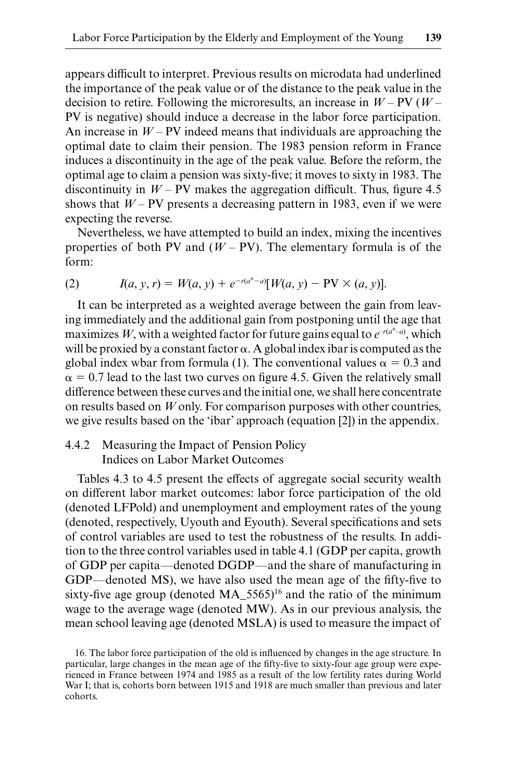appears difficult to interpret. Previous results on microdata had underlined the importance of the peak value or of the distance to the peak value in the decision to retire. Following the microresults, an increase in *W* – PV (*W* – PV is negative) should induce a decrease in the labor force participation. An increase in  $W - PV$  indeed means that individuals are approaching the optimal date to claim their pension. The 1983 pension reform in France induces a discontinuity in the age of the peak value. Before the reform, the optimal age to claim a pension was sixty-five; it moves to sixty in 1983. The discontinuity in  $W - PV$  makes the aggregation difficult. Thus, figure 4.5 shows that  $W - PV$  presents a decreasing pattern in 1983, even if we were expecting the reverse.

Nevertheless, we have attempted to build an index, mixing the incentives properties of both PV and  $(W - PV)$ . The elementary formula is of the form:

(2) 
$$
I(a, y, r) = W(a, y) + e^{-r(a^{*}-a)}[W(a, y) - PV \times (a, y)].
$$

It can be interpreted as a weighted average between the gain from leaving immediately and the additional gain from postponing until the age that maximizes *W*, with a weighted factor for future gains equal to  $e^{-r(a^* - a)}$ , which will be proxied by a constant factor  $\alpha$ . A global index ibar is computed as the global index wbar from formula (1). The conventional values  $\alpha = 0.3$  and  $\alpha$  = 0.7 lead to the last two curves on figure 4.5. Given the relatively small difference between these curves and the initial one, we shall here concentrate on results based on *W* only. For comparison purposes with other countries, we give results based on the 'ibar' approach (equation [2]) in the appendix.

## 4.4.2 Measuring the Impact of Pension Policy Indices on Labor Market Outcomes

Tables 4.3 to 4.5 present the effects of aggregate social security wealth on different labor market outcomes: labor force participation of the old (denoted LFPold) and unemployment and employment rates of the young (denoted, respectively, Uyouth and Eyouth). Several specifications and sets of control variables are used to test the robustness of the results. In addition to the three control variables used in table 4.1 (GDP per capita, growth of GDP per capita—denoted DGDP—and the share of manufacturing in GDP—denoted MS), we have also used the mean age of the fifty-five to sixty-five age group (denoted MA  $5565$ )<sup>16</sup> and the ratio of the minimum wage to the average wage (denoted MW). As in our previous analysis, the mean school leaving age (denoted MSLA) is used to measure the impact of

<sup>16.</sup> The labor force participation of the old is influenced by changes in the age structure. In particular, large changes in the mean age of the fifty-five to sixty-four age group were experienced in France between 1974 and 1985 as a result of the low fertility rates during World War I; that is, cohorts born between 1915 and 1918 are much smaller than previous and later cohorts.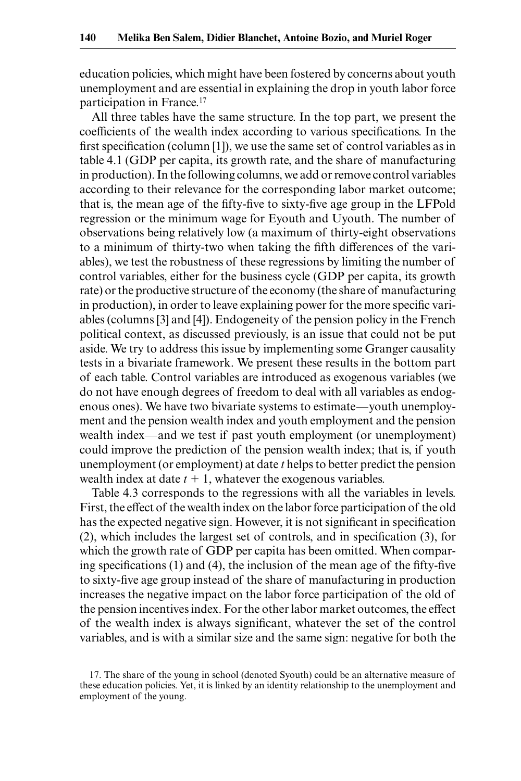education policies, which might have been fostered by concerns about youth unemployment and are essential in explaining the drop in youth labor force participation in France.<sup>17</sup>

All three tables have the same structure. In the top part, we present the coefficients of the wealth index according to various specifications. In the first specification (column  $[1]$ ), we use the same set of control variables as in table 4.1 (GDP per capita, its growth rate, and the share of manufacturing in production). In the following columns, we add or remove control variables according to their relevance for the corresponding labor market outcome; that is, the mean age of the fifty-five to sixty-five age group in the LFPold regression or the minimum wage for Eyouth and Uyouth. The number of observations being relatively low (a maximum of thirty- eight observations to a minimum of thirty-two when taking the fifth differences of the variables), we test the robustness of these regressions by limiting the number of control variables, either for the business cycle (GDP per capita, its growth rate) or the productive structure of the economy (the share of manufacturing in production), in order to leave explaining power for the more specific variables (columns [3] and [4]). Endogeneity of the pension policy in the French political context, as discussed previously, is an issue that could not be put aside. We try to address this issue by implementing some Granger causality tests in a bivariate framework. We present these results in the bottom part of each table. Control variables are introduced as exogenous variables (we do not have enough degrees of freedom to deal with all variables as endogenous ones). We have two bivariate systems to estimate—youth unemployment and the pension wealth index and youth employment and the pension wealth index—and we test if past youth employment (or unemployment) could improve the prediction of the pension wealth index; that is, if youth unemployment (or employment) at date *t* helps to better predict the pension wealth index at date  $t + 1$ , whatever the exogenous variables.

Table 4.3 corresponds to the regressions with all the variables in levels. First, the effect of the wealth index on the labor force participation of the old has the expected negative sign. However, it is not significant in specification  $(2)$ , which includes the largest set of controls, and in specification  $(3)$ , for which the growth rate of GDP per capita has been omitted. When comparing specifications  $(1)$  and  $(4)$ , the inclusion of the mean age of the fifty-five to sixty-five age group instead of the share of manufacturing in production increases the negative impact on the labor force participation of the old of the pension incentives index. For the other labor market outcomes, the effect of the wealth index is always significant, whatever the set of the control variables, and is with a similar size and the same sign: negative for both the

<sup>17.</sup> The share of the young in school (denoted Syouth) could be an alternative measure of these education policies. Yet, it is linked by an identity relationship to the unemployment and employment of the young.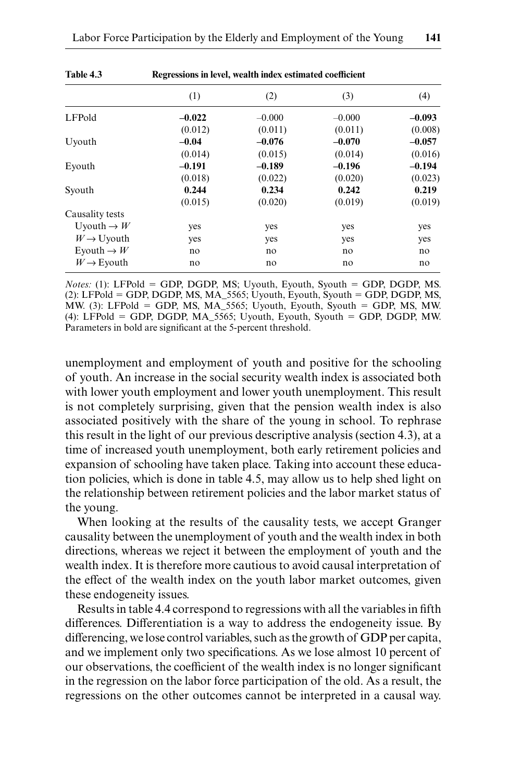| Table 4.3              | Regressions in level, wealth index estimated coefficient |          |          |          |  |  |  |
|------------------------|----------------------------------------------------------|----------|----------|----------|--|--|--|
|                        | (1)                                                      | (2)      | (3)      | (4)      |  |  |  |
| <b>LFPold</b>          | $-0.022$                                                 | $-0.000$ | $-0.000$ | $-0.093$ |  |  |  |
|                        | (0.012)                                                  | (0.011)  | (0.011)  | (0.008)  |  |  |  |
| Uyouth                 | $-0.04$                                                  | $-0.076$ | $-0.070$ | $-0.057$ |  |  |  |
|                        | (0.014)                                                  | (0.015)  | (0.014)  | (0.016)  |  |  |  |
| Eyouth                 | $-0.191$                                                 | $-0.189$ | $-0.196$ | $-0.194$ |  |  |  |
|                        | (0.018)                                                  | (0.022)  | (0.020)  | (0.023)  |  |  |  |
| Syouth                 | 0.244                                                    | 0.234    | 0.242    | 0.219    |  |  |  |
|                        | (0.015)                                                  | (0.020)  | (0.019)  | (0.019)  |  |  |  |
| Causality tests        |                                                          |          |          |          |  |  |  |
| Uyouth $\rightarrow$ W | yes                                                      | yes      | yes      | yes      |  |  |  |
| $W \rightarrow$ Uyouth | yes                                                      | yes      | yes      | yes      |  |  |  |
| Eyouth $\rightarrow$ W | no                                                       | no       | no       | no       |  |  |  |
| $W \rightarrow$ Eyouth | no                                                       | no       | no       | no       |  |  |  |

*Notes:* (1): LFPold = GDP, DGDP, MS; Uyouth, Eyouth, Syouth = GDP, DGDP, MS.  $(2)$ : LFPold = GDP, DGDP, MS, MA\_5565; Uyouth, Eyouth, Syouth = GDP, DGDP, MS,  $MW. (3): LFPold = GDP, MS, MA_5565; Uyouth, Eyouth, Syouth = GDP, MS, MW.$  $(4)$ : LFPold = GDP, DGDP, MA\_5565; Uyouth, Eyouth, Syouth = GDP, DGDP, MW. Parameters in bold are significant at the 5-percent threshold.

unemployment and employment of youth and positive for the schooling of youth. An increase in the social security wealth index is associated both with lower youth employment and lower youth unemployment. This result is not completely surprising, given that the pension wealth index is also associated positively with the share of the young in school. To rephrase this result in the light of our previous descriptive analysis (section 4.3), at a time of increased youth unemployment, both early retirement policies and expansion of schooling have taken place. Taking into account these education policies, which is done in table 4.5, may allow us to help shed light on the relationship between retirement policies and the labor market status of the young.

When looking at the results of the causality tests, we accept Granger causality between the unemployment of youth and the wealth index in both directions, whereas we reject it between the employment of youth and the wealth index. It is therefore more cautious to avoid causal interpretation of the effect of the wealth index on the youth labor market outcomes, given these endogeneity issues.

Results in table 4.4 correspond to regressions with all the variables in fifth differences. Differentiation is a way to address the endogeneity issue. By differencing, we lose control variables, such as the growth of GDP per capita, and we implement only two specifications. As we lose almost 10 percent of our observations, the coefficient of the wealth index is no longer significant in the regression on the labor force participation of the old. As a result, the regressions on the other outcomes cannot be interpreted in a causal way.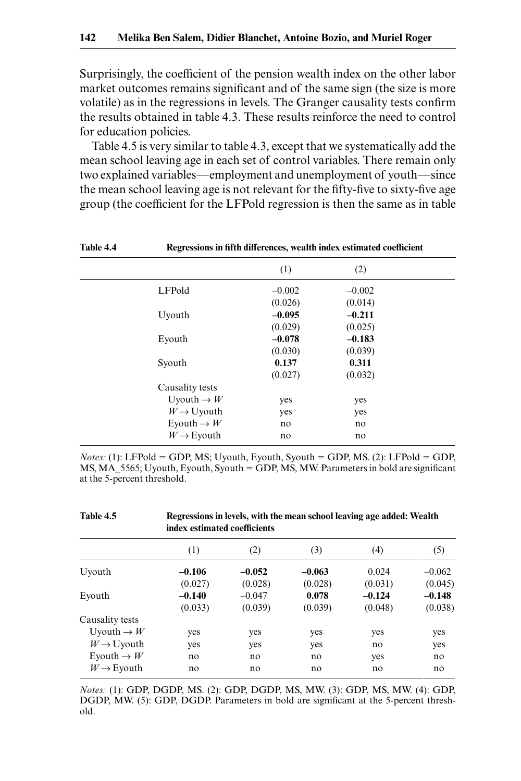Surprisingly, the coefficient of the pension wealth index on the other labor market outcomes remains significant and of the same sign (the size is more volatile) as in the regressions in levels. The Granger causality tests confirm the results obtained in table 4.3. These results reinforce the need to control for education policies.

Table 4.5 is very similar to table 4.3, except that we systematically add the mean school leaving age in each set of control variables. There remain only two explained variables—employment and unemployment of youth—since the mean school leaving age is not relevant for the fifty-five to sixty-five age group (the coefficient for the LFPold regression is then the same as in table

| Table 4.4 |                        | Regressions in fifth differences, wealth index estimated coefficient |          |  |  |  |  |
|-----------|------------------------|----------------------------------------------------------------------|----------|--|--|--|--|
|           |                        | (1)                                                                  | (2)      |  |  |  |  |
|           | <b>LFPold</b>          | $-0.002$                                                             | $-0.002$ |  |  |  |  |
|           |                        | (0.026)                                                              | (0.014)  |  |  |  |  |
|           | Uyouth                 | $-0.095$                                                             | $-0.211$ |  |  |  |  |
|           |                        | (0.029)                                                              | (0.025)  |  |  |  |  |
|           | Eyouth                 | $-0.078$                                                             | $-0.183$ |  |  |  |  |
|           |                        | (0.030)                                                              | (0.039)  |  |  |  |  |
|           | Syouth                 | 0.137                                                                | 0.311    |  |  |  |  |
|           |                        | (0.027)                                                              | (0.032)  |  |  |  |  |
|           | Causality tests        |                                                                      |          |  |  |  |  |
|           | Uyouth $\rightarrow$ W | yes                                                                  | yes      |  |  |  |  |
|           | $W \rightarrow$ Uyouth | yes                                                                  | yes      |  |  |  |  |
|           | Eyouth $\rightarrow$ W | no                                                                   | no       |  |  |  |  |
|           | $W \rightarrow$ Eyouth | no                                                                   | no       |  |  |  |  |
|           |                        |                                                                      |          |  |  |  |  |

 $Notes: (1): LFPold = GDP, MS; Uyouth, Eyouth, Syouth = GDP, MS. (2): LFPold = GDP,$ MS, MA\_5565; Uyouth, Eyouth, Syouth = GDP, MS, MW. Parameters in bold are significant at the 5-percent threshold.

| Table 4.5              | Regressions in levels, with the mean school leaving age added: Wealth<br>index estimated coefficients |          |          |          |          |  |  |
|------------------------|-------------------------------------------------------------------------------------------------------|----------|----------|----------|----------|--|--|
|                        | (1)                                                                                                   | (2)      | (3)      | (4)      | (5)      |  |  |
| Uyouth                 | $-0.106$                                                                                              | $-0.052$ | $-0.063$ | 0.024    | $-0.062$ |  |  |
|                        | (0.027)                                                                                               | (0.028)  | (0.028)  | (0.031)  | (0.045)  |  |  |
| Eyouth                 | $-0.140$                                                                                              | $-0.047$ | 0.078    | $-0.124$ | $-0.148$ |  |  |
|                        | (0.033)                                                                                               | (0.039)  | (0.039)  | (0.048)  | (0.038)  |  |  |
| Causality tests        |                                                                                                       |          |          |          |          |  |  |
| Uyouth $\rightarrow$ W | yes                                                                                                   | yes      | yes      | yes      | yes      |  |  |
| $W \rightarrow$ Uyouth | yes                                                                                                   | yes      | yes      | no       | yes      |  |  |
| Eyouth $\rightarrow$ W | no                                                                                                    | no       | no       | yes      | no       |  |  |
| $W \rightarrow$ Eyouth | no                                                                                                    | no       | no       | no       | no       |  |  |

*Notes:* (1): GDP, DGDP, MS. (2): GDP, DGDP, MS, MW. (3): GDP, MS, MW. (4): GDP, DGDP, MW. (5): GDP, DGDP. Parameters in bold are significant at the 5-percent threshold.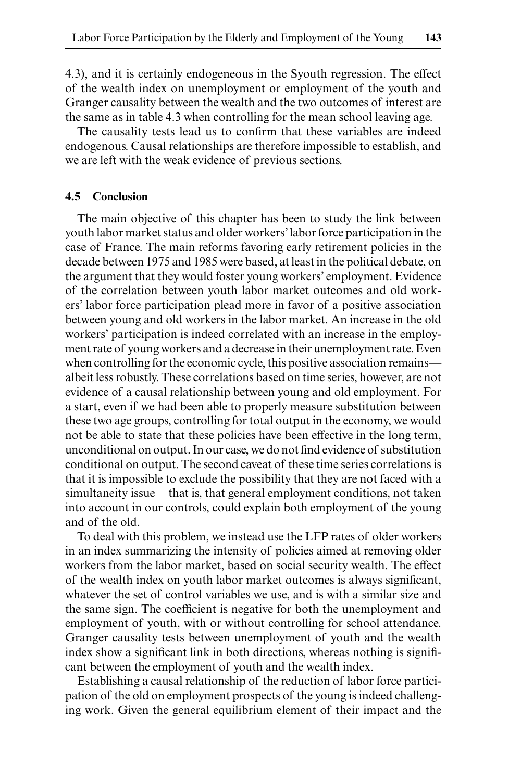4.3), and it is certainly endogeneous in the Syouth regression. The effect of the wealth index on unemployment or employment of the youth and Granger causality between the wealth and the two outcomes of interest are the same as in table 4.3 when controlling for the mean school leaving age.

The causality tests lead us to confirm that these variables are indeed endogenous. Causal relationships are therefore impossible to establish, and we are left with the weak evidence of previous sections.

## **4.5 Conclusion**

The main objective of this chapter has been to study the link between youth labor market status and older workers' labor force participation in the case of France. The main reforms favoring early retirement policies in the decade between 1975 and 1985 were based, at least in the political debate, on the argument that they would foster young workers' employment. Evidence of the correlation between youth labor market outcomes and old workers' labor force participation plead more in favor of a positive association between young and old workers in the labor market. An increase in the old workers' participation is indeed correlated with an increase in the employment rate of young workers and a decrease in their unemployment rate. Even when controlling for the economic cycle, this positive association remains albeit less robustly. These correlations based on time series, however, are not evidence of a causal relationship between young and old employment. For a start, even if we had been able to properly measure substitution between these two age groups, controlling for total output in the economy, we would not be able to state that these policies have been effective in the long term, unconditional on output. In our case, we do not find evidence of substitution conditional on output. The second caveat of these time series correlations is that it is impossible to exclude the possibility that they are not faced with a simultaneity issue—that is, that general employment conditions, not taken into account in our controls, could explain both employment of the young and of the old.

To deal with this problem, we instead use the LFP rates of older workers in an index summarizing the intensity of policies aimed at removing older workers from the labor market, based on social security wealth. The effect of the wealth index on youth labor market outcomes is always significant, whatever the set of control variables we use, and is with a similar size and the same sign. The coefficient is negative for both the unemployment and employment of youth, with or without controlling for school attendance. Granger causality tests between unemployment of youth and the wealth index show a significant link in both directions, whereas nothing is significant between the employment of youth and the wealth index.

Establishing a causal relationship of the reduction of labor force participation of the old on employment prospects of the young is indeed challenging work. Given the general equilibrium element of their impact and the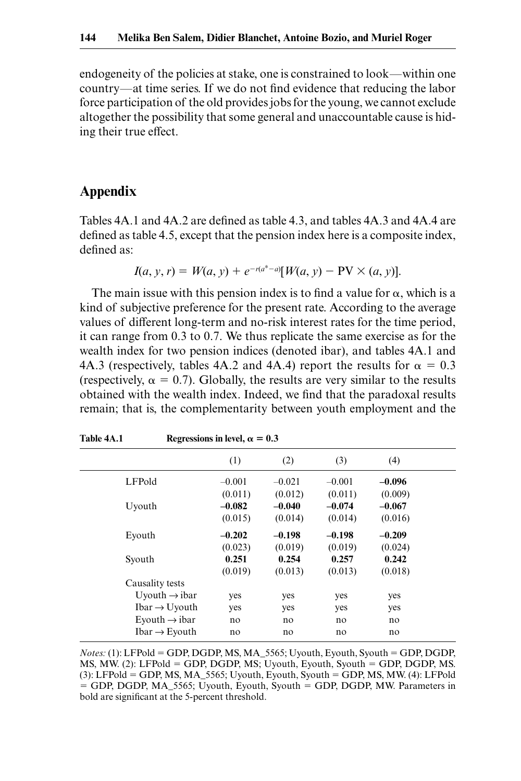endogeneity of the policies at stake, one is constrained to look—within one country—at time series. If we do not find evidence that reducing the labor force participation of the old provides jobs for the young, we cannot exclude altogether the possibility that some general and unaccountable cause is hiding their true effect.

# **Appendix**

Tables 4A.1 and 4A.2 are defined as table 4.3, and tables 4A.3 and 4A.4 are defined as table 4.5, except that the pension index here is a composite index, defined as:

$$
I(a, y, r) = W(a, y) + e^{-r(a^{*}-a)}[W(a, y) - PV \times (a, y)].
$$

The main issue with this pension index is to find a value for  $\alpha$ , which is a kind of subjective preference for the present rate. According to the average values of different long- term and no- risk interest rates for the time period, it can range from 0.3 to 0.7. We thus replicate the same exercise as for the wealth index for two pension indices (denoted ibar), and tables 4A.1 and 4A.3 (respectively, tables 4A.2 and 4A.4) report the results for  $\alpha = 0.3$ (respectively,  $\alpha = 0.7$ ). Globally, the results are very similar to the results obtained with the wealth index. Indeed, we find that the paradoxal results remain; that is, the complementarity between youth employment and the

| <b>Table 4A.1</b> |                            | Regressions in level, $\alpha = 0.3$ |          |          |          |  |
|-------------------|----------------------------|--------------------------------------|----------|----------|----------|--|
|                   |                            | (1)                                  | (2)      | (3)      | (4)      |  |
| <b>LFPold</b>     |                            | $-0.001$                             | $-0.021$ | $-0.001$ | $-0.096$ |  |
|                   |                            | (0.011)                              | (0.012)  | (0.011)  | (0.009)  |  |
| Uyouth            |                            | $-0.082$                             | $-0.040$ | $-0.074$ | $-0.067$ |  |
|                   |                            | (0.015)                              | (0.014)  | (0.014)  | (0.016)  |  |
| Eyouth            |                            | $-0.202$                             | $-0.198$ | $-0.198$ | $-0.209$ |  |
|                   |                            | (0.023)                              | (0.019)  | (0.019)  | (0.024)  |  |
| Syouth            |                            | 0.251                                | 0.254    | 0.257    | 0.242    |  |
|                   |                            | (0.019)                              | (0.013)  | (0.013)  | (0.018)  |  |
|                   | Causality tests            |                                      |          |          |          |  |
|                   | Uyouth $\rightarrow$ ibar  | yes                                  | yes      | yes      | yes      |  |
|                   | $Ibar \rightarrow U$ youth | yes                                  | yes      | yes      | yes      |  |
|                   | Eyouth $\rightarrow$ ibar  | no                                   | no       | no       | no       |  |
|                   | $Ibar \rightarrow E$ youth | no                                   | no       | no       | no       |  |
|                   |                            |                                      |          |          |          |  |

*Notes:* (1): LFPold = GDP, DGDP, MS, MA\_5565; Uyouth, Eyouth, Syouth = GDP, DGDP,  $MS$ , MW. (2): LFPold = GDP, DGDP, MS; Uyouth, Eyouth, Syouth = GDP, DGDP, MS.  $(3)$ : LFPold = GDP, MS, MA\_5565; Uyouth, Eyouth, Syouth = GDP, MS, MW. (4): LFPold = GDP, DGDP, MA\_5565; Uyouth, Eyouth, Syouth = GDP, DGDP, MW. Parameters in bold are significant at the 5-percent threshold.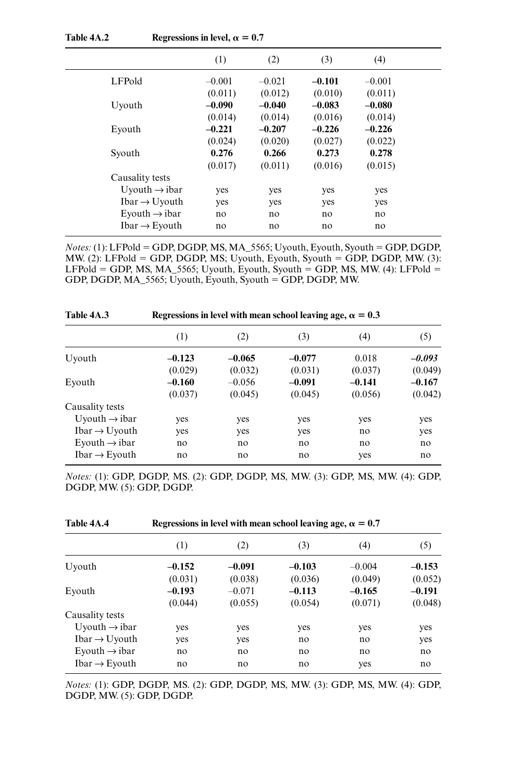| Table 4A.2                 | Regressions in level, $\alpha = 0.7$ |          |          |          |  |
|----------------------------|--------------------------------------|----------|----------|----------|--|
|                            | (1)                                  | (2)      | (3)      | (4)      |  |
| <b>LFPold</b>              | $-0.001$                             | $-0.021$ | $-0.101$ | $-0.001$ |  |
|                            | (0.011)                              | (0.012)  | (0.010)  | (0.011)  |  |
| Uyouth                     | $-0.090$                             | $-0.040$ | $-0.083$ | $-0.080$ |  |
|                            | (0.014)                              | (0.014)  | (0.016)  | (0.014)  |  |
| Eyouth                     | $-0.221$                             | $-0.207$ | $-0.226$ | $-0.226$ |  |
|                            | (0.024)                              | (0.020)  | (0.027)  | (0.022)  |  |
| Syouth                     | 0.276                                | 0.266    | 0.273    | 0.278    |  |
|                            | (0.017)                              | (0.011)  | (0.016)  | (0.015)  |  |
| Causality tests            |                                      |          |          |          |  |
| Uyouth $\rightarrow$ ibar  | yes                                  | yes      | yes      | yes      |  |
| $Ibar \rightarrow U$ youth | yes                                  | yes      | yes      | yes      |  |
| Eyouth $\rightarrow$ ibar  | no                                   | no       | no       | no       |  |
| $Ibar \rightarrow E$ youth | no                                   | no       | no       | no       |  |
|                            |                                      |          |          |          |  |

 $Notes: (1): LFPold = GDP, DGDP, MS, MA_5565; Uyouth, Eyouth, Syouth = GDP, DGDP,$  $MW. (2): LFPold = GDP, DGDP, MS; Uyouth, Eyouth, Syouth = GDP, DGDP, MW. (3):$  $LFPold = GDP, MS, MA_5565; Uyouth, Eyouth, Syouth = GDP, MS, MW. (4): LFPold =$ GDP, DGDP, MA\_5565; Uyouth, Eyouth, Syouth = GDP, DGDP, MW.

| Table 4A.3                 | Regressions in level with mean school leaving age, $\alpha = 0.3$ |          |          |          |          |  |
|----------------------------|-------------------------------------------------------------------|----------|----------|----------|----------|--|
|                            | (1)                                                               | (2)      | (3)      | (4)      | (5)      |  |
| Uyouth                     | $-0.123$                                                          | $-0.065$ | $-0.077$ | 0.018    | $-0.093$ |  |
|                            | (0.029)                                                           | (0.032)  | (0.031)  | (0.037)  | (0.049)  |  |
| Eyouth                     | $-0.160$                                                          | $-0.056$ | $-0.091$ | $-0.141$ | $-0.167$ |  |
|                            | (0.037)                                                           | (0.045)  | (0.045)  | (0.056)  | (0.042)  |  |
| Causality tests            |                                                                   |          |          |          |          |  |
| Uyouth $\rightarrow$ ibar  | yes                                                               | yes      | yes      | yes      | yes      |  |
| $Ibar \rightarrow U$ youth | yes                                                               | yes      | yes      | no       | yes      |  |
| Eyouth $\rightarrow$ ibar  | no                                                                | no       | no       | no       | no       |  |
| $Ibar \rightarrow E$ youth | no                                                                | no       | no       | yes      | no       |  |

*Notes:* (1): GDP, DGDP, MS. (2): GDP, DGDP, MS, MW. (3): GDP, MS, MW. (4): GDP, DGDP, MW. (5): GDP, DGDP.

| Table 4A.4                 | Regressions in level with mean school leaving age, $\alpha = 0.7$ |          |          |          |          |  |  |
|----------------------------|-------------------------------------------------------------------|----------|----------|----------|----------|--|--|
|                            | (1)                                                               | (2)      | (3)      | (4)      | (5)      |  |  |
| Uyouth                     | $-0.152$                                                          | $-0.091$ | $-0.103$ | $-0.004$ | $-0.153$ |  |  |
|                            | (0.031)                                                           | (0.038)  | (0.036)  | (0.049)  | (0.052)  |  |  |
| Eyouth                     | $-0.193$                                                          | $-0.071$ | $-0.113$ | $-0.165$ | $-0.191$ |  |  |
|                            | (0.044)                                                           | (0.055)  | (0.054)  | (0.071)  | (0.048)  |  |  |
| Causality tests            |                                                                   |          |          |          |          |  |  |
| Uyouth $\rightarrow$ ibar  | yes                                                               | yes      | yes      | yes      | yes      |  |  |
| $Ibar \rightarrow U$ youth | yes                                                               | yes      | no       | no       | yes      |  |  |
| Eyouth $\rightarrow$ ibar  | no                                                                | no       | no       | no       | no       |  |  |
| $Ibar \rightarrow E$ youth | no                                                                | no       | no       | yes      | no       |  |  |

*Notes:* (1): GDP, DGDP, MS. (2): GDP, DGDP, MS, MW. (3): GDP, MS, MW. (4): GDP, DGDP, MW. (5): GDP, DGDP.